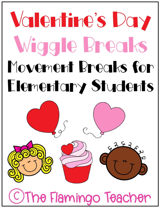# Valentine's Day Wiggle Breaks Movement Breaks for Elementary Students

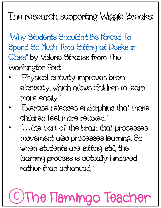#### The research supporting Wiggle Breaks:

"Why Students Shouldn't Be Forced To [Spend So Much Time Sitting at Desks in](https://www.washingtonpost.com/education/2019/02/07/why-students-shouldnt-be-forced-spend-so-much-time-sitting-desks-class/)  Class" by Valerie Strauss from The Washington Post

- "Physical activity improves brain elasticity, which allows children to learn more easily."
- "Exercise releases endorphins that make children feel more relaxed."
- " **…**the part of the brain that processes movement also processes learning. So when students are sitting still, the learning process is actually hindered rather than enhanced."

## The Flamingo Teacher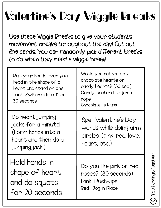#### Valentine's Day Wiggle Breaks

Use these Wiggle Breaks to give your students movement breaks throughout the day! Cut out the cards. You can randomly pick different breaks to do when they need a wiggle break!

| Put your hands over your<br>head in the shape of a<br>heart and stand on one<br>foot. Switch sides after<br>30 seconds. | Would you rather eat<br>chocolate hearts or<br>candy hearts? (30 sec.)<br>Candy: pretend to jump<br>rope<br>Chocolate: sit-ups |
|-------------------------------------------------------------------------------------------------------------------------|--------------------------------------------------------------------------------------------------------------------------------|
| Do heart jumping<br>jacks for a minute!<br>(Form hands into a<br>heart and then do a<br>, jumping, jack.)               | Spell Valentine's Day<br>words while doing arm<br>circles. (pink, red, love,<br>heart, etc.)                                   |
| Hold hands in<br>shape of heart<br>and do squats<br>for 20 seconds                                                      | Do you like pink or red<br>roses? (30 seconds)<br>Pink: Push-ups<br>Red: Jog in Place                                          |

The Flamingo Teacher

The Flamingo Teacher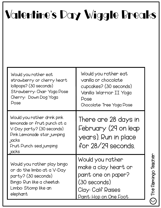### Valentine's Day Wiggle Breaks

| Would you rather eat                                                                                                                                                       | Would you rather eat                                                                       |
|----------------------------------------------------------------------------------------------------------------------------------------------------------------------------|--------------------------------------------------------------------------------------------|
| strawberry or cherry heart                                                                                                                                                 | vanilla or chocolate                                                                       |
| lollipops? (30 seconds)                                                                                                                                                    | cupcakes? (30 seconds)                                                                     |
| Strawberry: Chair Yoga Pose                                                                                                                                                | Vanilla: Warrior II Yoga                                                                   |
| Cherry: Down Dog Yoga                                                                                                                                                      | Pose                                                                                       |
| Pose                                                                                                                                                                       | Chocolate: Tree Yoga Pose                                                                  |
| Would you rather drink pink<br>lemonade or fruit punch at a<br>V-Day party? (30 seconds)<br>Pink Lemonade: star jumping<br>, jacks<br>Fruit Punch: seal jumping<br>, jacks | There are 28 days in<br>February (29 on leap<br>years). Run in place<br>for 28/29 seconds. |
| Would you rather play bingo                                                                                                                                                | Would you rather                                                                           |
| or do the limbo at a V-Day                                                                                                                                                 | make a clay heart or                                                                       |
| party? (30 seconds)                                                                                                                                                        | paint one on paper?                                                                        |
| Bingo: Run like a cheetah                                                                                                                                                  | $(30$ seconds)                                                                             |
| Limbo: Stomp like an                                                                                                                                                       | Clay: Calf Raises                                                                          |
| elephant                                                                                                                                                                   | Paint: Hop on One Foot                                                                     |

C The Flamingo Teacher The Flamingo Teacher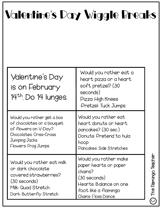#### Valentine's Day Wiggle Breaks

| Valentine's Day<br>is on February<br>$14th$ . Do 14 lunges.                                                                                         | Would you rather eat a<br>heart pizza or a heart<br>soft pretzel? (30<br>seconds)<br>Pizza: High Knees<br>:Pretzel: Tuck Jumps                            |
|-----------------------------------------------------------------------------------------------------------------------------------------------------|-----------------------------------------------------------------------------------------------------------------------------------------------------------|
| Would you rather get a box<br>of chocolates or a bouquet<br>of flowers on V-Day?<br>Chocolates: Criss-Cross<br>Jumping Jacks<br>Flowers: Frog Jumps | Would you rather eat<br>heart donuts or heart<br>pancakes? (30 sec.)<br>Donyts: Pretend to hula<br>hoop<br>Pancakes: Side Stretches                       |
| Would you rather eat milk<br>or dark chocolate<br>covered strawberries?<br>$(30$ seconds)<br>Milk: Quad Stretch<br>Dark: Butterfly Stretch          | Would you rather make<br>paper hearts or paper<br>chains?<br>(30 seconds)<br>Hearts: Balance on one<br>foot like a flamingo<br><b>Chains: Floss Dance</b> |

C The Flamingo Teacher The Flamingo Teacher